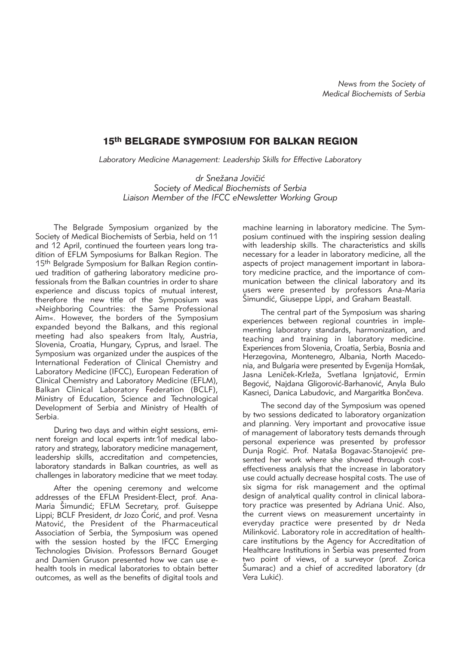## 15th BELGRADE SYMPOSIUM FOR BALKAN REGION

*Laboratory Medicine Management: Leadership Skills for Effective Laboratory*

dr Snežana Jovičić *Society of Medical Biochemists of Serbia Liaison Member of the IFCC eNewsletter Working Group*

The Belgrade Symposium organized by the Society of Medical Biochemists of Serbia, held on 11 and 12 April, continued the fourteen years long tradition of EFLM Symposiums for Balkan Region. The 15th Belgrade Symposium for Balkan Region continued tradition of gathering laboratory medicine professionals from the Balkan countries in order to share experience and discuss topics of mutual interest, therefore the new title of the Symposium was »Neighboring Countries: the Same Professional Aim«. However, the borders of the Symposium expanded beyond the Balkans, and this regional meeting had also speakers from Italy, Austria, Slovenia, Croatia, Hungary, Cyprus, and Israel. The Symposium was organized under the auspices of the International Federation of Clinical Chemistry and Laboratory Medicine (IFCC), European Federation of Clinical Chemistry and Laboratory Medicine (EFLM), Balkan Clinical Laboratory Federation (BCLF), Ministry of Education, Science and Technological Development of Serbia and Ministry of Health of Serbia.

During two days and within eight sessions, eminent foreign and local experts intr.1of medical laboratory and strategy, laboratory medicine management, leadership skills, accreditation and competencies, laboratory standards in Balkan countries, as well as challenges in laboratory medicine that we meet today.

After the opening ceremony and welcome addresses of the EFLM President-Elect, prof. Ana-Maria Šimundić; EFLM Secretary, prof. Guiseppe Lippi; BCLF President, dr Jozo Ćorić, and prof. Vesna Matović, the President of the Pharmaceutical Association of Serbia, the Symposium was opened with the session hosted by the IFCC Emerging Technologies Division. Professors Bernard Gouget and Damien Gruson presented how we can use ehealth tools in medical laboratories to obtain better outcomes, as well as the benefits of digital tools and machine learning in laboratory medicine. The Symposium continued with the inspiring session dealing with leadership skills. The characteristics and skills necessary for a leader in laboratory medicine, all the aspects of project management important in laboratory medicine practice, and the importance of communication between the clinical laboratory and its users were presented by professors Ana-Maria Simundić, Giuseppe Lippi, and Graham Beastall.

The central part of the Symposium was sharing experiences between regional countries in implementing laboratory standards, harmonization, and teaching and training in laboratory medicine. Experiences from Slovenia, Croatia, Serbia, Bosnia and Herzegovina, Montenegro, Albania, North Macedonia, and Bulgaria were presented by Evgenija Homšak, Jasna Leniček-Krleža, Svetlana Ignjatović, Ermin Begović, Najdana Gligorović-Barhanović, Anyla Bulo Kasneci, Danica Labudovic, and Margaritka Bončeva.

The second day of the Symposium was opened by two sessions dedicated to laboratory organization and planning. Very important and provocative issue of management of laboratory tests demands through personal experience was presented by professor Dunja Rogić. Prof. Nataša Bogavac-Stanojević presented her work where she showed through costeffectiveness analysis that the increase in laboratory use could actually decrease hospital costs. The use of six sigma for risk management and the optimal design of analytical quality control in clinical laboratory practice was presented by Adriana Unić. Also, the current views on measurement uncertainty in everyday practice were presented by dr Neda Milinković. Laboratory role in accreditation of healthcare institutions by the Agency for Accreditation of Healthcare Institutions in Serbia was presented from two point of views, of a surveyor (prof. Zorica Šumarac) and a chief of accredited laboratory (dr Vera Lukić).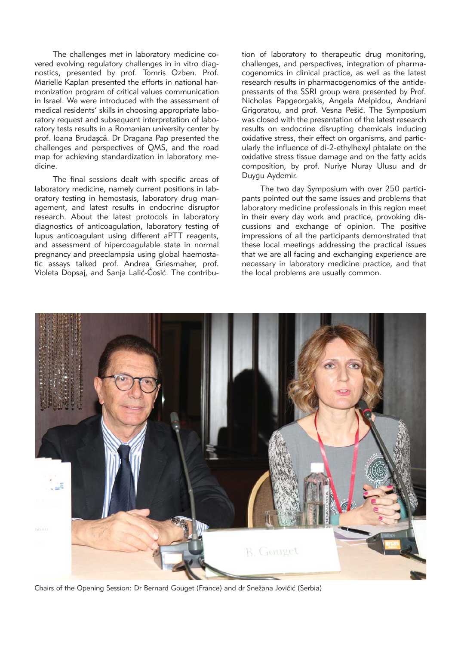The challenges met in laboratory medicine covered evolving regulatory challenges in in vitro diagnostics, presented by prof. Tomris Ozben. Prof. Marielle Kaplan presented the efforts in national harmonization program of critical values communication in Israel. We were introduced with the assessment of medical residents' skills in choosing appropriate laboratory request and subsequent interpretation of laboratory tests results in a Romanian university center by prof. Ioana Brudașcă. Dr Dragana Pap presented the challenges and perspectives of QMS, and the road map for achieving standardization in laboratory me dicine.

The final sessions dealt with specific areas of laboratory medicine, namely current positions in laboratory testing in hemostasis, laboratory drug management, and latest results in endocrine disruptor research. About the latest protocols in laboratory diagnostics of anticoagulation, laboratory testing of lupus anticoagulant using different aPTT reagents, and assessment of hipercoagulable state in normal pregnancy and preeclampsia using global haemostatic assays talked prof. Andrea Griesmaher, prof. Violeta Dopsaj, and Sanja Lalić-Ćosić. The contribution of laboratory to therapeutic drug monitoring, challenges, and perspectives, integration of pharmacogenomics in clinical practice, as well as the latest research results in pharmacogenomics of the antidepressants of the SSRI group were presented by Prof. Nicholas Papgeorgakis, Angela Melpidou, Andriani Grigoratou, and prof. Vesna Pešić. The Symposium was closed with the presentation of the latest research results on endocrine disrupting chemicals inducing oxidative stress, their effect on organisms, and particularly the influence of di-2-ethylhexyl phtalate on the oxidative stress tissue damage and on the fatty acids composition, by prof. Nuriye Nuray Ulusu and dr Duygu Aydemir.

The two day Symposium with over 250 participants pointed out the same issues and problems that laboratory medicine professionals in this region meet in their every day work and practice, provoking discussions and exchange of opinion. The positive impressions of all the participants demonstrated that these local meetings addressing the practical issues that we are all facing and exchanging experience are necessary in laboratory medicine practice, and that the local problems are usually common.



Chairs of the Opening Session: Dr Bernard Gouget (France) and dr Snežana Jovičić (Serbia)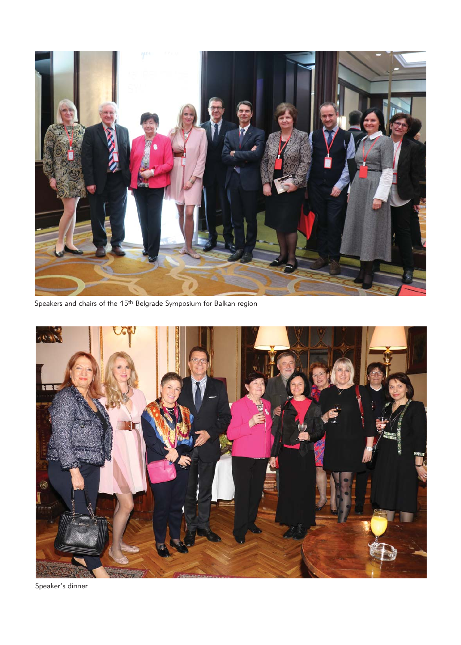

Speakers and chairs of the 15th Belgrade Symposium for Balkan region



Speaker's dinner